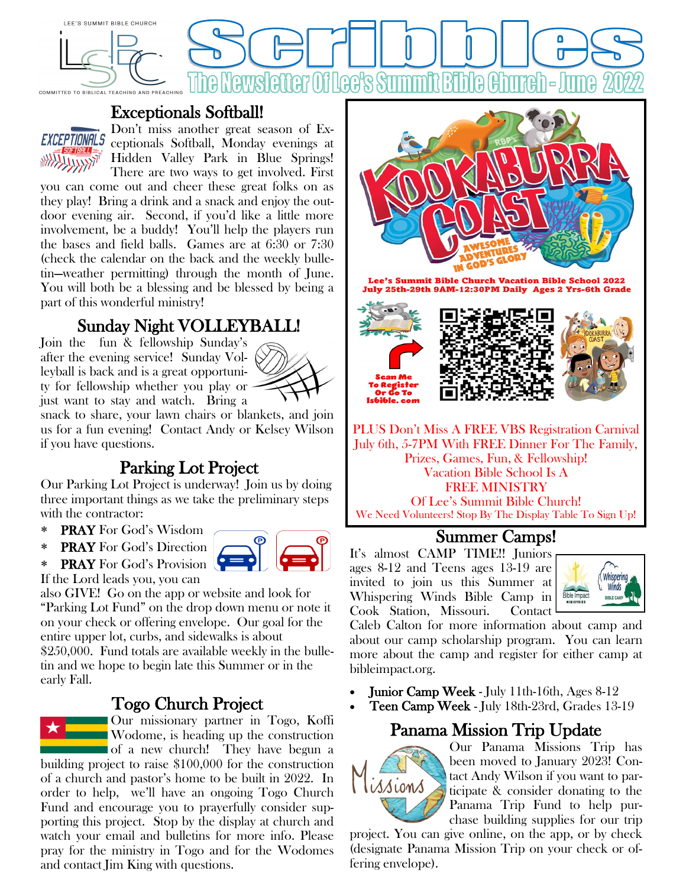

### Exceptionals Softball!



Don't miss another great season of Exceptionals Softball, Monday evenings at Hidden Valley Park in Blue Springs! There are two ways to get involved. First

you can come out and cheer these great folks on as they play! Bring a drink and a snack and enjoy the outdoor evening air. Second, if you'd like a little more involvement, be a buddy! You'll help the players run the bases and field balls. Games are at 6:30 or 7:30 (check the calendar on the back and the weekly bulletin—weather permitting) through the month of June. You will both be a blessing and be blessed by being a part of this wonderful ministry!

## Sunday Night VOLLEYBALL!

Join the fun & fellowship Sunday's after the evening service! Sunday Volleyball is back and is a great opportunity for fellowship whether you play or just want to stay and watch. Bring a



snack to share, your lawn chairs or blankets, and join us for a fun evening! Contact Andy or Kelsey Wilson if you have questions.

### Parking Lot Project

Our Parking Lot Project is underway! Join us by doing three important things as we take the preliminary steps with the contractor:

- PRAY For God's Wisdom
- PRAY For God's Direction
- PRAY For God's Provision If the Lord leads you, you can

also GIVE! Go on the app or website and look for "Parking Lot Fund" on the drop down menu or note it on your check or offering envelope. Our goal for the entire upper lot, curbs, and sidewalks is about \$250,000. Fund totals are available weekly in the bulle-

tin and we hope to begin late this Summer or in the early Fall.

### Togo Church Project



Our missionary partner in Togo, Koffi Wodome, is heading up the construction of a new church! They have begun a

building project to raise \$100,000 for the construction of a church and pastor's home to be built in 2022. In order to help, we'll have an ongoing Togo Church Fund and encourage you to prayerfully consider supporting this project. Stop by the display at church and watch your email and bulletins for more info. Please pray for the ministry in Togo and for the Wodomes and contact Jim King with questions.



Lee's Summit Bible Church Vacation Bible School 2022 July 25th-29th 9AM-12:30PM Daily Ages 2 Yrs-6th Grade



PLUS Don't Miss A FREE VBS Registration Carnival July 6th, 5-7PM With FREE Dinner For The Family, Prizes, Games, Fun, & Fellowship! Vacation Bible School Is A FREE MINISTRY Of Lee's Summit Bible Church! We Need Volunteers! Stop By The Display Table To Sign Up!

#### Summer Camps!

It's almost CAMP TIME!! Juniors ages 8-12 and Teens ages 13-19 are invited to join us this Summer at Whispering Winds Bible Camp in Cook Station, Missouri. Contact



Caleb Calton for more information about camp and about our camp scholarship program. You can learn more about the camp and register for either camp at bibleimpact.org.

- Junior Camp Week July 11th-16th, Ages 8-12
- Teen Camp Week July 18th-23rd, Grades 13-19

### Panama Mission Trip Update



Our Panama Missions Trip has been moved to January 2023! Contact Andy Wilson if you want to participate & consider donating to the Panama Trip Fund to help purchase building supplies for our trip

project. You can give online, on the app, or by check (designate Panama Mission Trip on your check or offering envelope).